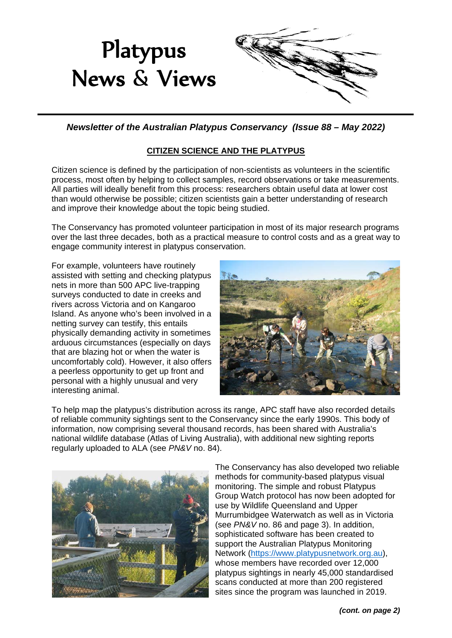

*Newsletter of the Australian Platypus Conservancy (Issue 88 – May 2022)*

# **CITIZEN SCIENCE AND THE PLATYPUS**

Citizen science is defined by the participation of non-scientists as volunteers in the scientific process, most often by helping to collect samples, record observations or take measurements. All parties will ideally benefit from this process: researchers obtain useful data at lower cost than would otherwise be possible; citizen scientists gain a better understanding of research and improve their knowledge about the topic being studied.

The Conservancy has promoted volunteer participation in most of its major research programs over the last three decades, both as a practical measure to control costs and as a great way to engage community interest in platypus conservation.

For example, volunteers have routinely assisted with setting and checking platypus nets in more than 500 APC live-trapping surveys conducted to date in creeks and rivers across Victoria and on Kangaroo Island. As anyone who's been involved in a netting survey can testify, this entails physically demanding activity in sometimes arduous circumstances (especially on days that are blazing hot or when the water is uncomfortably cold). However, it also offers a peerless opportunity to get up front and personal with a highly unusual and very interesting animal.



To help map the platypus's distribution across its range, APC staff have also recorded details of reliable community sightings sent to the Conservancy since the early 1990s. This body of information, now comprising several thousand records, has been shared with Australia's national wildlife database (Atlas of Living Australia), with additional new sighting reports regularly uploaded to ALA (see *PN&V* no. 84).



The Conservancy has also developed two reliable methods for community-based platypus visual monitoring. The simple and robust Platypus Group Watch protocol has now been adopted for use by Wildlife Queensland and Upper Murrumbidgee Waterwatch as well as in Victoria (see *PN&V* no. 86 and page 3). In addition , sophisticated software has been created t o support the Australian Platypus Monitorin g Network ( [https://www.platypusnetwork.org.au](https://www.platypusnetwork.org.au/)), whose members have recorded over 12,000 platypus sightings in nearly 45,000 standardise d scans conducted at more than 200 registered sites since the program was launched in 2019.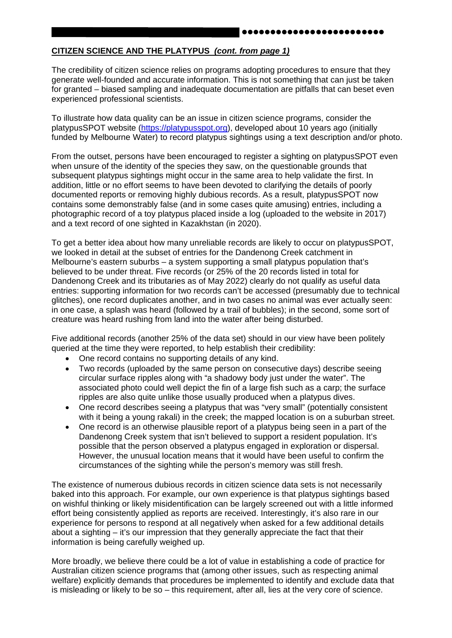#### **CITIZEN SCIENCE AND THE PLATYPUS** *(cont. from page 1)*

The credibility of citizen science relies on programs adopting procedures to ensure that they generate well-founded and accurate information. This is not something that can just be taken for granted – biased sampling and inadequate documentation are pitfalls that can beset even experienced professional scientists.

To illustrate how data quality can be an issue in citizen science programs, consider the platypusSPOT website [\(https://platypusspot.org\)](https://platypusspot.org/), developed about 10 years ago (initially funded by Melbourne Water) to record platypus sightings using a text description and/or photo.

From the outset, persons have been encouraged to register a sighting on platypusSPOT even when unsure of the identity of the species they saw, on the questionable grounds that subsequent platypus sightings might occur in the same area to help validate the first. In addition, little or no effort seems to have been devoted to clarifying the details of poorly documented reports or removing highly dubious records. As a result, platypusSPOT now contains some demonstrably false (and in some cases quite amusing) entries, including a photographic record of a toy platypus placed inside a log (uploaded to the website in 2017) and a text record of one sighted in Kazakhstan (in 2020).

To get a better idea about how many unreliable records are likely to occur on platypusSPOT, we looked in detail at the subset of entries for the Dandenong Creek catchment in Melbourne's eastern suburbs – a system supporting a small platypus population that's believed to be under threat. Five records (or 25% of the 20 records listed in total for Dandenong Creek and its tributaries as of May 2022) clearly do not qualify as useful data entries: supporting information for two records can't be accessed (presumably due to technical glitches), one record duplicates another, and in two cases no animal was ever actually seen: in one case, a splash was heard (followed by a trail of bubbles); in the second, some sort of creature was heard rushing from land into the water after being disturbed.

Five additional records (another 25% of the data set) should in our view have been politely queried at the time they were reported, to help establish their credibility:

- One record contains no supporting details of any kind.
- Two records (uploaded by the same person on consecutive days) describe seeing circular surface ripples along with "a shadowy body just under the water". The associated photo could well depict the fin of a large fish such as a carp; the surface ripples are also quite unlike those usually produced when a platypus dives.
- One record describes seeing a platypus that was "very small" (potentially consistent with it being a young rakali) in the creek; the mapped location is on a suburban street.
- One record is an otherwise plausible report of a platypus being seen in a part of the Dandenong Creek system that isn't believed to support a resident population. It's possible that the person observed a platypus engaged in exploration or dispersal. However, the unusual location means that it would have been useful to confirm the circumstances of the sighting while the person's memory was still fresh.

The existence of numerous dubious records in citizen science data sets is not necessarily baked into this approach. For example, our own experience is that platypus sightings based on wishful thinking or likely misidentification can be largely screened out with a little informed effort being consistently applied as reports are received. Interestingly, it's also rare in our experience for persons to respond at all negatively when asked for a few additional details about a sighting – it's our impression that they generally appreciate the fact that their information is being carefully weighed up.

More broadly, we believe there could be a lot of value in establishing a code of practice for Australian citizen science programs that (among other issues, such as respecting animal welfare) explicitly demands that procedures be implemented to identify and exclude data that is misleading or likely to be so – this requirement, after all, lies at the very core of science.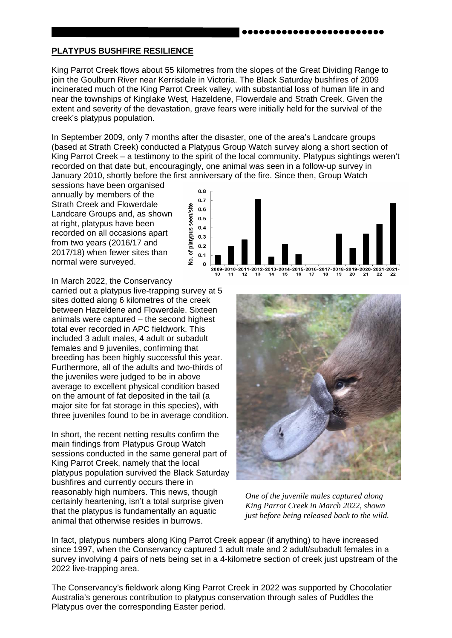#### **PLATYPUS BUSHFIRE RESILIENCE**

King Parrot Creek flows about 55 kilometres from the slopes of the Great Dividing Range to join the Goulburn River near Kerrisdale in Victoria. The Black Saturday bushfires of 2009 incinerated much of the King Parrot Creek valley, with substantial loss of human life in and near the townships of Kinglake West, Hazeldene, Flowerdale and Strath Creek. Given the extent and severity of the devastation, grave fears were initially held for the survival of the creek's platypus population.

In September 2009, only 7 months after the disaster, one of the area's Landcare groups (based at Strath Creek) conducted a Platypus Group Watch survey along a short section of King Parrot Creek – a testimony to the spirit of the local community. Platypus sightings weren't recorded on that date but, encouragingly, one animal was seen in a follow-up survey in January 2010, shortly before the first anniversary of the fire. Since then, Group Watch

sessions have been organised annually by members of the Strath Creek and Flowerdale Landcare Groups and, as shown at right, platypus have been recorded on all occasions apart from two years (2016/17 and 2017/18) when fewer sites than normal were surveyed.



In March 2022, the Conservancy

carried out a platypus live-trapping survey at 5 sites dotted along 6 kilometres of the creek between Hazeldene and Flowerdale. Sixteen animals were captured – the second highest total ever recorded in APC fieldwork. This included 3 adult males, 4 adult or subadult females and 9 juveniles, confirming that breeding has been highly successful this year. Furthermore, all of the adults and two-thirds of the juveniles were judged to be in above average to excellent physical condition based on the amount of fat deposited in the tail (a major site for fat storage in this species), with three juveniles found to be in average condition.

In short, the recent netting results confirm the main findings from Platypus Group Watch sessions conducted in the same general part of King Parrot Creek, namely that the local platypus population survived the Black Saturday bushfires and currently occurs there in reasonably high numbers. This news, though certainly heartening, isn't a total surprise given that the platypus is fundamentally an aquatic animal that otherwise resides in burrows.



*One of the juvenile males captured along King Parrot Creek in March 2022, shown just before being released back to the wild.* 

In fact, platypus numbers along King Parrot Creek appear (if anything) to have increased since 1997, when the Conservancy captured 1 adult male and 2 adult/subadult females in a survey involving 4 pairs of nets being set in a 4-kilometre section of creek just upstream of the 2022 live-trapping area.

The Conservancy's fieldwork along King Parrot Creek in 2022 was supported by Chocolatier Australia's generous contribution to platypus conservation through sales of Puddles the Platypus over the corresponding Easter period.